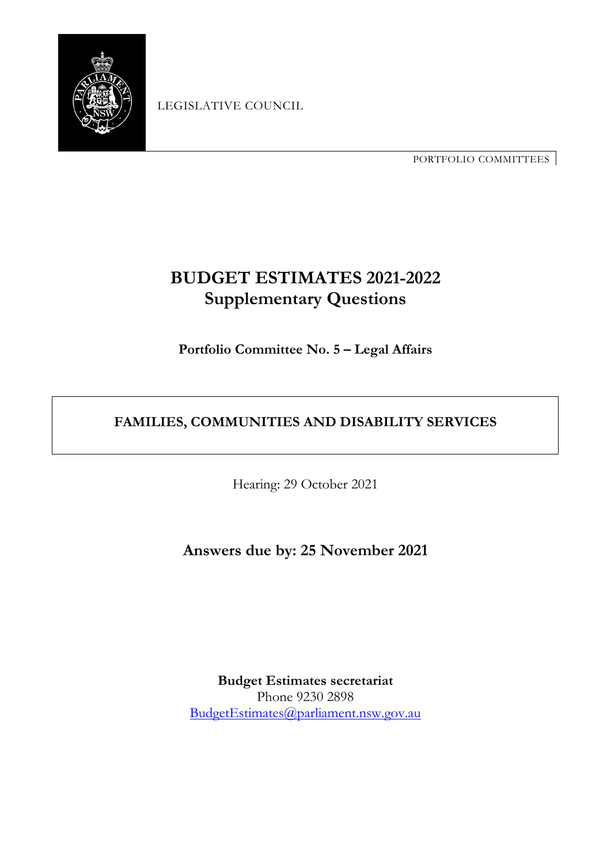

LEGISLATIVE COUNCIL

PORTFOLIO COMMITTEES

# **BUDGET ESTIMATES 2021-2022 Supplementary Questions**

**Portfolio Committee No. 5 – Legal Affairs**

# **FAMILIES, COMMUNITIES AND DISABILITY SERVICES**

Hearing: 29 October 2021

**Answers due by: 25 November 2021**

**Budget Estimates secretariat** Phone 9230 2898 [BudgetEstimates@parliament.nsw.gov.au](mailto:BudgetEstimates@parliament.nsw.gov.au)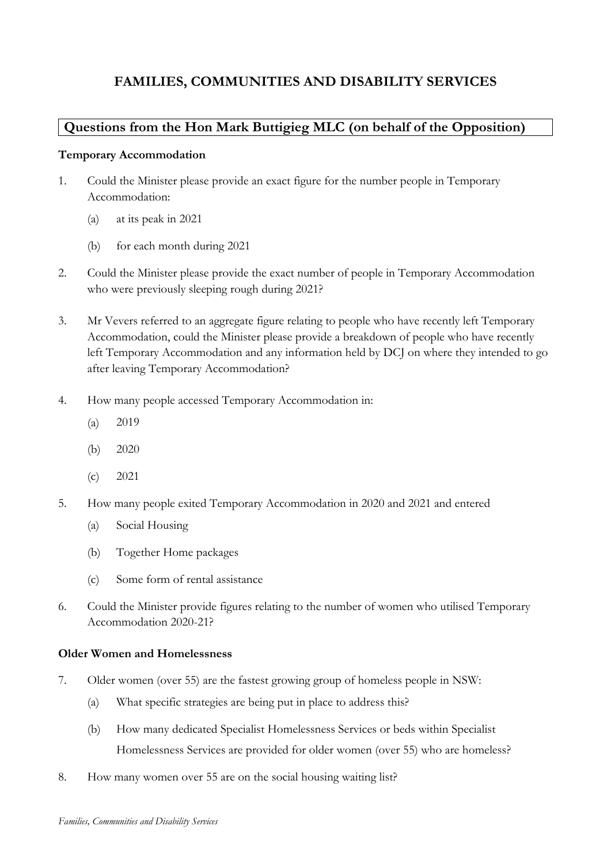# **Questions from the Hon Mark Buttigieg MLC (on behalf of the Opposition)**

# **Temporary Accommodation**

- 1. Could the Minister please provide an exact figure for the number people in Temporary Accommodation:
	- (a) at its peak in 2021
	- (b) for each month during 2021
- 2. Could the Minister please provide the exact number of people in Temporary Accommodation who were previously sleeping rough during 2021?
- 3. Mr Vevers referred to an aggregate figure relating to people who have recently left Temporary Accommodation, could the Minister please provide a breakdown of people who have recently left Temporary Accommodation and any information held by DCJ on where they intended to go after leaving Temporary Accommodation?
- 4. How many people accessed Temporary Accommodation in:
	- (a) 2019
	- (b) 2020
	- (c) 2021
- 5. How many people exited Temporary Accommodation in 2020 and 2021 and entered
	- (a) Social Housing
	- (b) Together Home packages
	- (c) Some form of rental assistance
- 6. Could the Minister provide figures relating to the number of women who utilised Temporary Accommodation 2020-21?

# **Older Women and Homelessness**

- 7. Older women (over 55) are the fastest growing group of homeless people in NSW:
	- (a) What specific strategies are being put in place to address this?
	- (b) How many dedicated Specialist Homelessness Services or beds within Specialist Homelessness Services are provided for older women (over 55) who are homeless?
- 8. How many women over 55 are on the social housing waiting list?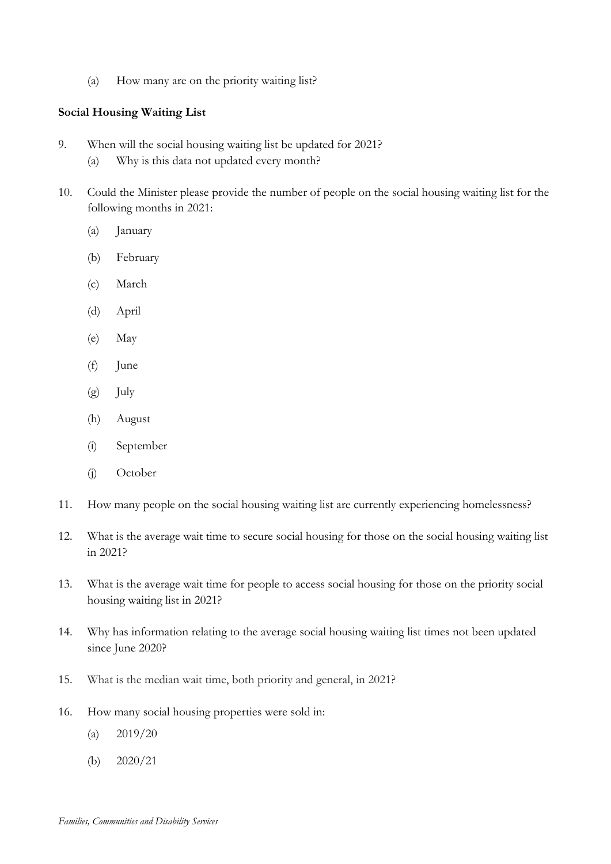(a) How many are on the priority waiting list?

#### **Social Housing Waiting List**

- 9. When will the social housing waiting list be updated for 2021?
	- (a) Why is this data not updated every month?
- 10. Could the Minister please provide the number of people on the social housing waiting list for the following months in 2021:
	- (a) January
	- (b) February
	- (c) March
	- (d) April
	- (e) May
	- (f) June
	- (g) July
	- (h) August
	- (i) September
	- (j) October
- 11. How many people on the social housing waiting list are currently experiencing homelessness?
- 12. What is the average wait time to secure social housing for those on the social housing waiting list in 2021?
- 13. What is the average wait time for people to access social housing for those on the priority social housing waiting list in 2021?
- 14. Why has information relating to the average social housing waiting list times not been updated since June 2020?
- 15. What is the median wait time, both priority and general, in 2021?
- 16. How many social housing properties were sold in:
	- (a)  $2019/20$
	- (b) 2020/21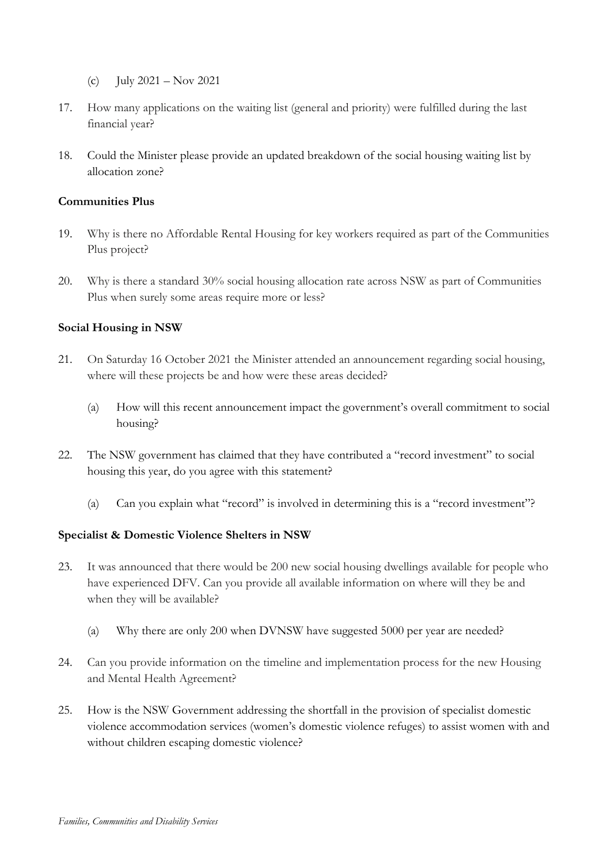- (c) July  $2021 Nov 2021$
- 17. How many applications on the waiting list (general and priority) were fulfilled during the last financial year?
- 18. Could the Minister please provide an updated breakdown of the social housing waiting list by allocation zone?

# **Communities Plus**

- 19. Why is there no Affordable Rental Housing for key workers required as part of the Communities Plus project?
- 20. Why is there a standard 30% social housing allocation rate across NSW as part of Communities Plus when surely some areas require more or less?

# **Social Housing in NSW**

- 21. On Saturday 16 October 2021 the Minister attended an announcement regarding social housing, where will these projects be and how were these areas decided?
	- (a) How will this recent announcement impact the government's overall commitment to social housing?
- 22. The NSW government has claimed that they have contributed a "record investment" to social housing this year, do you agree with this statement?
	- (a) Can you explain what "record" is involved in determining this is a "record investment"?

#### **Specialist & Domestic Violence Shelters in NSW**

- 23. It was announced that there would be 200 new social housing dwellings available for people who have experienced DFV. Can you provide all available information on where will they be and when they will be available?
	- (a) Why there are only 200 when DVNSW have suggested 5000 per year are needed?
- 24. Can you provide information on the timeline and implementation process for the new Housing and Mental Health Agreement?
- 25. How is the NSW Government addressing the shortfall in the provision of specialist domestic violence accommodation services (women's domestic violence refuges) to assist women with and without children escaping domestic violence?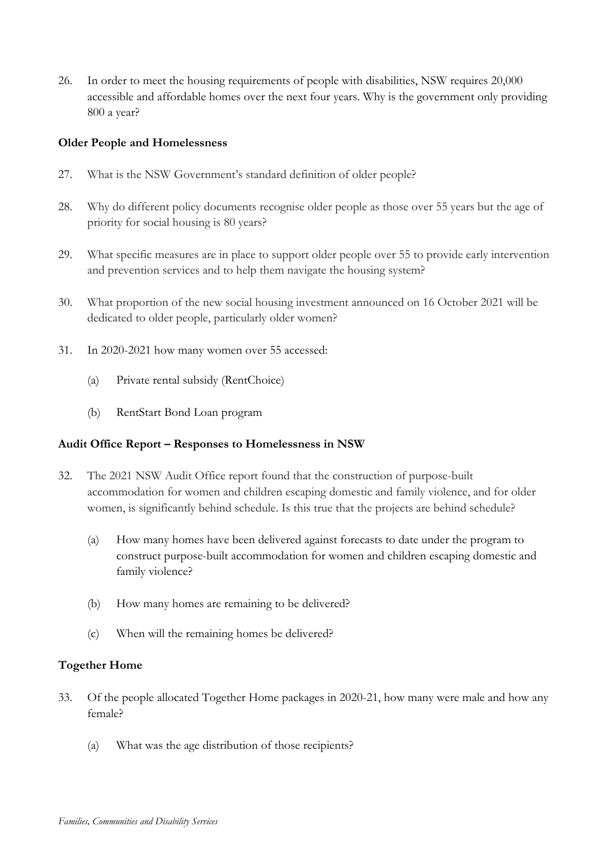26. In order to meet the housing requirements of people with disabilities, NSW requires 20,000 accessible and affordable homes over the next four years. Why is the government only providing 800 a year?

# **Older People and Homelessness**

- 27. What is the NSW Government's standard definition of older people?
- 28. Why do different policy documents recognise older people as those over 55 years but the age of priority for social housing is 80 years?
- 29. What specific measures are in place to support older people over 55 to provide early intervention and prevention services and to help them navigate the housing system?
- 30. What proportion of the new social housing investment announced on 16 October 2021 will be dedicated to older people, particularly older women?
- 31. In 2020-2021 how many women over 55 accessed:
	- (a) Private rental subsidy (RentChoice)
	- (b) RentStart Bond Loan program

#### **Audit Office Report – Responses to Homelessness in NSW**

- 32. The 2021 NSW Audit Office report found that the construction of purpose-built accommodation for women and children escaping domestic and family violence, and for older women, is significantly behind schedule. Is this true that the projects are behind schedule?
	- (a) How many homes have been delivered against forecasts to date under the program to construct purpose-built accommodation for women and children escaping domestic and family violence?
	- (b) How many homes are remaining to be delivered?
	- (c) When will the remaining homes be delivered?

# **Together Home**

- 33. Of the people allocated Together Home packages in 2020-21, how many were male and how any female?
	- (a) What was the age distribution of those recipients?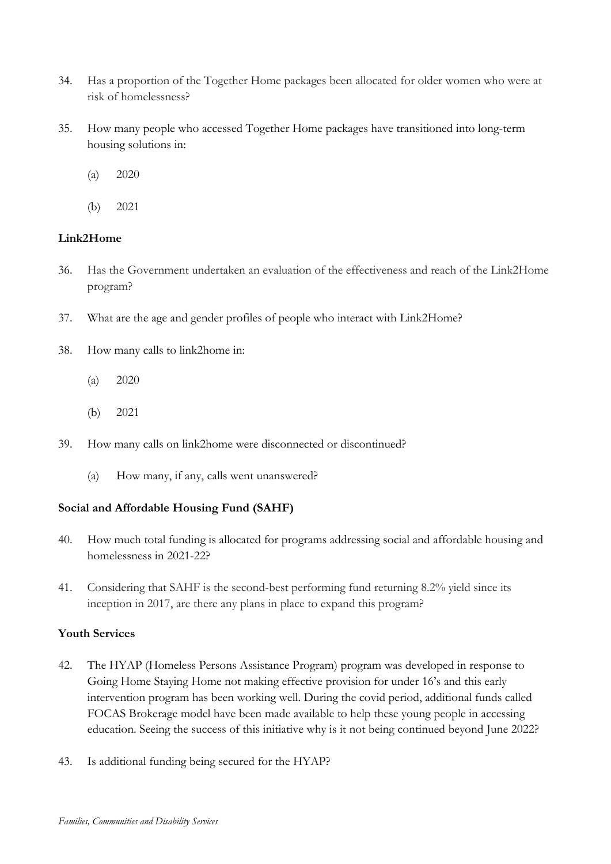- 34. Has a proportion of the Together Home packages been allocated for older women who were at risk of homelessness?
- 35. How many people who accessed Together Home packages have transitioned into long-term housing solutions in:
	- (a) 2020
	- (b) 2021

# **Link2Home**

- 36. Has the Government undertaken an evaluation of the effectiveness and reach of the Link2Home program?
- 37. What are the age and gender profiles of people who interact with Link2Home?
- 38. How many calls to link2home in:
	- (a) 2020
	- (b) 2021
- 39. How many calls on link2home were disconnected or discontinued?
	- (a) How many, if any, calls went unanswered?

# **Social and Affordable Housing Fund (SAHF)**

- 40. How much total funding is allocated for programs addressing social and affordable housing and homelessness in 2021-22?
- 41. Considering that SAHF is the second-best performing fund returning 8.2% yield since its inception in 2017, are there any plans in place to expand this program?

#### **Youth Services**

- 42. The HYAP (Homeless Persons Assistance Program) program was developed in response to Going Home Staying Home not making effective provision for under 16's and this early intervention program has been working well. During the covid period, additional funds called FOCAS Brokerage model have been made available to help these young people in accessing education. Seeing the success of this initiative why is it not being continued beyond June 2022?
- 43. Is additional funding being secured for the HYAP?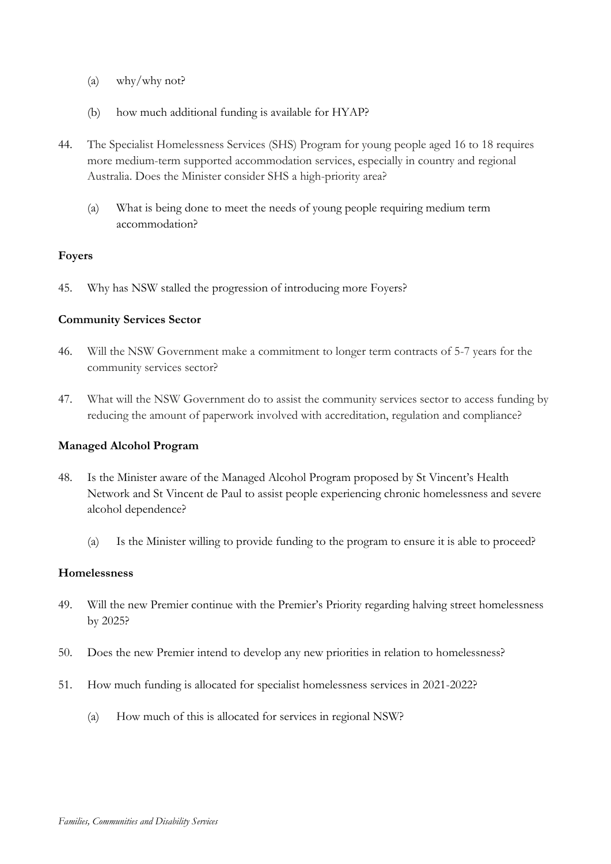- (a) why/why not?
- (b) how much additional funding is available for HYAP?
- 44. The Specialist Homelessness Services (SHS) Program for young people aged 16 to 18 requires more medium-term supported accommodation services, especially in country and regional Australia. Does the Minister consider SHS a high-priority area?
	- (a) What is being done to meet the needs of young people requiring medium term accommodation?

# **Foyers**

45. Why has NSW stalled the progression of introducing more Foyers?

# **Community Services Sector**

- 46. Will the NSW Government make a commitment to longer term contracts of 5-7 years for the community services sector?
- 47. What will the NSW Government do to assist the community services sector to access funding by reducing the amount of paperwork involved with accreditation, regulation and compliance?

# **Managed Alcohol Program**

- 48. Is the Minister aware of the Managed Alcohol Program proposed by St Vincent's Health Network and St Vincent de Paul to assist people experiencing chronic homelessness and severe alcohol dependence?
	- (a) Is the Minister willing to provide funding to the program to ensure it is able to proceed?

#### **Homelessness**

- 49. Will the new Premier continue with the Premier's Priority regarding halving street homelessness by 2025?
- 50. Does the new Premier intend to develop any new priorities in relation to homelessness?
- 51. How much funding is allocated for specialist homelessness services in 2021-2022?
	- (a) How much of this is allocated for services in regional NSW?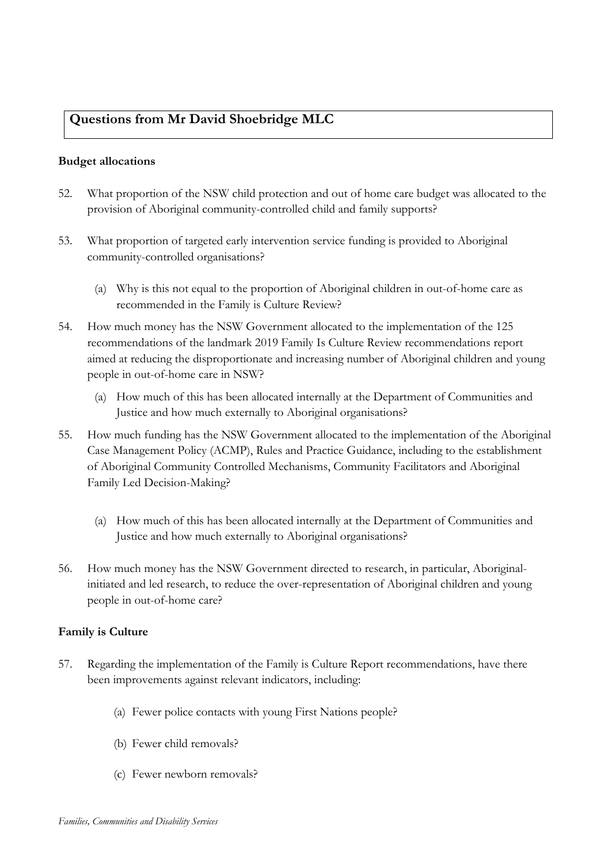# **Questions from Mr David Shoebridge MLC**

#### **Budget allocations**

- 52. What proportion of the NSW child protection and out of home care budget was allocated to the provision of Aboriginal community-controlled child and family supports?
- 53. What proportion of targeted early intervention service funding is provided to Aboriginal community-controlled organisations?
	- (a) Why is this not equal to the proportion of Aboriginal children in out-of-home care as recommended in the Family is Culture Review?
- 54. How much money has the NSW Government allocated to the implementation of the 125 recommendations of the landmark 2019 Family Is Culture Review recommendations report aimed at reducing the disproportionate and increasing number of Aboriginal children and young people in out-of-home care in NSW?
	- (a) How much of this has been allocated internally at the Department of Communities and Justice and how much externally to Aboriginal organisations?
- 55. How much funding has the NSW Government allocated to the implementation of the Aboriginal Case Management Policy (ACMP), Rules and Practice Guidance, including to the establishment of Aboriginal Community Controlled Mechanisms, Community Facilitators and Aboriginal Family Led Decision-Making?
	- (a) How much of this has been allocated internally at the Department of Communities and Justice and how much externally to Aboriginal organisations?
- 56. How much money has the NSW Government directed to research, in particular, Aboriginalinitiated and led research, to reduce the over-representation of Aboriginal children and young people in out-of-home care?

# **Family is Culture**

- 57. Regarding the implementation of the Family is Culture Report recommendations, have there been improvements against relevant indicators, including:
	- (a) Fewer police contacts with young First Nations people?
	- (b) Fewer child removals?
	- (c) Fewer newborn removals?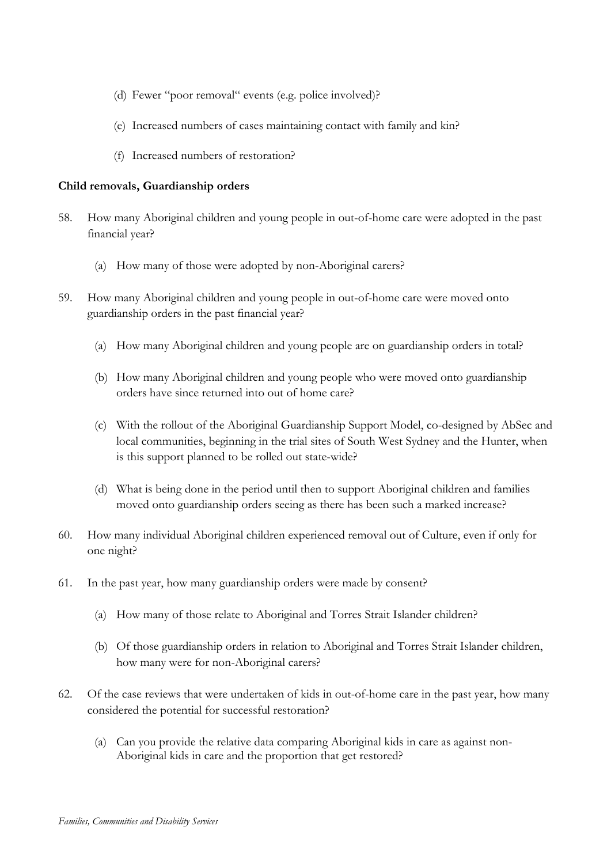- (d) Fewer "poor removal" events (e.g. police involved)?
- (e) Increased numbers of cases maintaining contact with family and kin?
- (f) Increased numbers of restoration?

#### **Child removals, Guardianship orders**

- 58. How many Aboriginal children and young people in out-of-home care were adopted in the past financial year?
	- (a) How many of those were adopted by non-Aboriginal carers?
- 59. How many Aboriginal children and young people in out-of-home care were moved onto guardianship orders in the past financial year?
	- (a) How many Aboriginal children and young people are on guardianship orders in total?
	- (b) How many Aboriginal children and young people who were moved onto guardianship orders have since returned into out of home care?
	- (c) With the rollout of the Aboriginal Guardianship Support Model, co-designed by AbSec and local communities, beginning in the trial sites of South West Sydney and the Hunter, when is this support planned to be rolled out state-wide?
	- (d) What is being done in the period until then to support Aboriginal children and families moved onto guardianship orders seeing as there has been such a marked increase?
- 60. How many individual Aboriginal children experienced removal out of Culture, even if only for one night?
- 61. In the past year, how many guardianship orders were made by consent?
	- (a) How many of those relate to Aboriginal and Torres Strait Islander children?
	- (b) Of those guardianship orders in relation to Aboriginal and Torres Strait Islander children, how many were for non-Aboriginal carers?
- 62. Of the case reviews that were undertaken of kids in out-of-home care in the past year, how many considered the potential for successful restoration?
	- (a) Can you provide the relative data comparing Aboriginal kids in care as against non-Aboriginal kids in care and the proportion that get restored?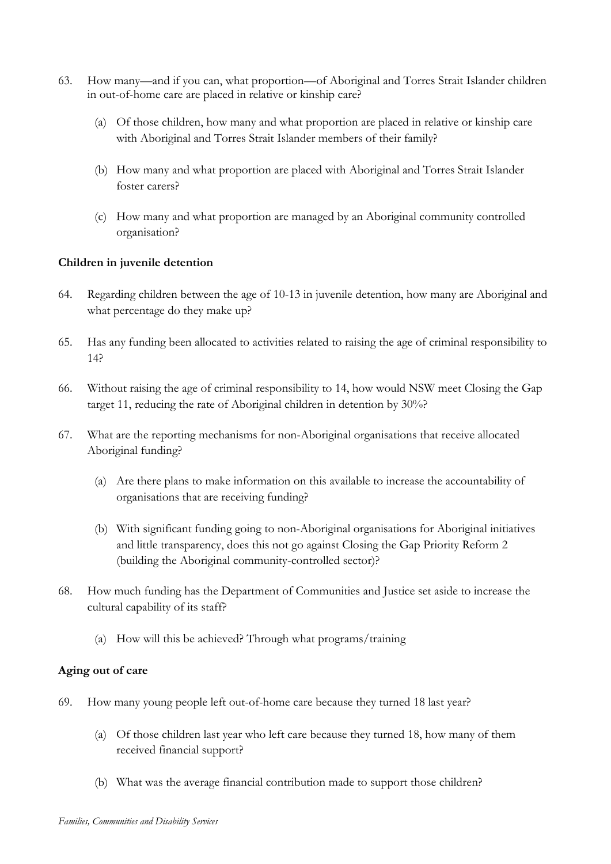- 63. How many—and if you can, what proportion—of Aboriginal and Torres Strait Islander children in out-of-home care are placed in relative or kinship care?
	- (a) Of those children, how many and what proportion are placed in relative or kinship care with Aboriginal and Torres Strait Islander members of their family?
	- (b) How many and what proportion are placed with Aboriginal and Torres Strait Islander foster carers?
	- (c) How many and what proportion are managed by an Aboriginal community controlled organisation?

# **Children in juvenile detention**

- 64. Regarding children between the age of 10-13 in juvenile detention, how many are Aboriginal and what percentage do they make up?
- 65. Has any funding been allocated to activities related to raising the age of criminal responsibility to 14?
- 66. Without raising the age of criminal responsibility to 14, how would NSW meet Closing the Gap target 11, reducing the rate of Aboriginal children in detention by 30%?
- 67. What are the reporting mechanisms for non-Aboriginal organisations that receive allocated Aboriginal funding?
	- (a) Are there plans to make information on this available to increase the accountability of organisations that are receiving funding?
	- (b) With significant funding going to non-Aboriginal organisations for Aboriginal initiatives and little transparency, does this not go against Closing the Gap Priority Reform 2 (building the Aboriginal community-controlled sector)?
- 68. How much funding has the Department of Communities and Justice set aside to increase the cultural capability of its staff?
	- (a) How will this be achieved? Through what programs/training

#### **Aging out of care**

- 69. How many young people left out-of-home care because they turned 18 last year?
	- (a) Of those children last year who left care because they turned 18, how many of them received financial support?
	- (b) What was the average financial contribution made to support those children?